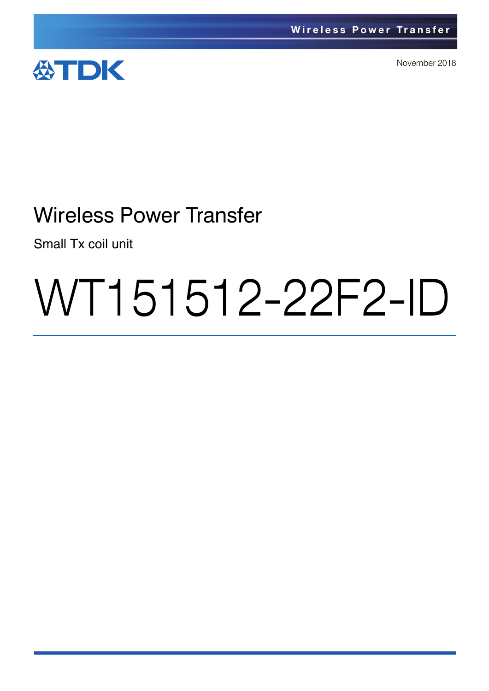

November 2018

# Wireless Power Transfer

Small Tx coil unit

# WT151512-22F2-ID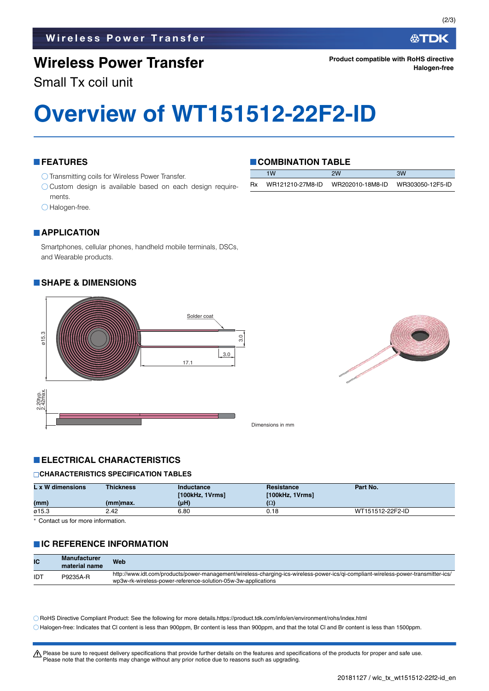## **Wireless Power Transfer**

Small Tx coil unit

#### **FEATURES**

- O Transmitting coils for Wireless Power Transfer.
- $\bigcirc$  Custom design is available based on each design requirements.
- Halogen-free.

#### **COMBINATION TABLE**

|           | 1W               | 2W               | 3W               |
|-----------|------------------|------------------|------------------|
| <b>Rx</b> | WR121210-27M8-ID | WR202010-18M8-ID | WR303050-12F5-ID |

#### **APPLICATION**

Smartphones, cellular phones, handheld mobile terminals, DSCs, and Wearable products.

#### **SHAPE & DIMENSIONS**





Dimensions in mm

#### **ELECTRICAL CHARACTERISTICS**

#### **CHARACTERISTICS SPECIFICATION TABLES**

| L x W dimensions | <b>Thickness</b> | Inductance<br>[100kHz, 1Vrms] | Resistance<br>[100kHz, 1Vrms] | Part No.         |
|------------------|------------------|-------------------------------|-------------------------------|------------------|
| (mm)             | $(mm)$ max.      | $(\mu H)$                     | (Ω)                           |                  |
| ø15.3            | 2.42             | 6.80                          | 0.18                          | WT151512-22F2-ID |

Contact us for more information.

#### **IC REFERENCE INFORMATION**

| IС  | <b>Manufacturer</b><br>material name | <b>Web</b>                                                                                                                                                                                          |
|-----|--------------------------------------|-----------------------------------------------------------------------------------------------------------------------------------------------------------------------------------------------------|
| IDT | P9235A-R                             | http://www.idt.com/products/power-management/wireless-charging-ics-wireless-power-ics/qi-compliant-wireless-power-transmitter-ics/<br>wp3w-rk-wireless-power-reference-solution-05w-3w-applications |

RoHS Directive Compliant Product: See the following for more details.https://product.tdk.com/info/en/environment/rohs/index.html Halogen-free: Indicates that Cl content is less than 900ppm, Br content is less than 900ppm, and that the total Cl and Br content is less than 1500ppm.

t Please be sure to request delivery specifications that provide further details on the features and specifications of the products for proper and safe use.

Please note that the contents may change without any prior notice due to reasons such as upgrading.

**Halogen-free**

**Product compatible with RoHS directive**